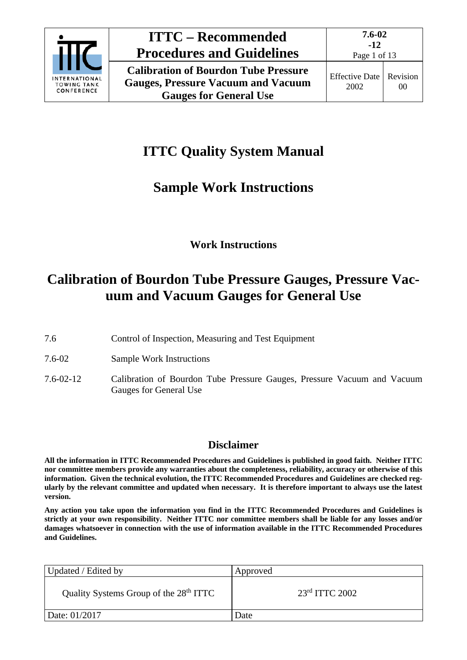

# **ITTC Quality System Manual**

# **Sample Work Instructions**

## **Work Instructions**

## **Calibration of Bourdon Tube Pressure Gauges, Pressure Vacuum and Vacuum Gauges for General Use**

- 7.6 Control of Inspection, Measuring and Test Equipment
- 7.6-02 Sample Work Instructions
- 7.6-02-12 Calibration of Bourdon Tube Pressure Gauges, Pressure Vacuum and Vacuum Gauges for General Use

## **Disclaimer**

**All the information in ITTC Recommended Procedures and Guidelines is published in good faith. Neither ITTC nor committee members provide any warranties about the completeness, reliability, accuracy or otherwise of this information. Given the technical evolution, the ITTC Recommended Procedures and Guidelines are checked regularly by the relevant committee and updated when necessary. It is therefore important to always use the latest version.**

**Any action you take upon the information you find in the ITTC Recommended Procedures and Guidelines is strictly at your own responsibility. Neither ITTC nor committee members shall be liable for any losses and/or damages whatsoever in connection with the use of information available in the ITTC Recommended Procedures and Guidelines.**

| Updated / Edited by                                | Approved           |
|----------------------------------------------------|--------------------|
| Quality Systems Group of the 28 <sup>th</sup> ITTC | $23rd$ ITTC $2002$ |
| Date: 01/2017                                      | Date               |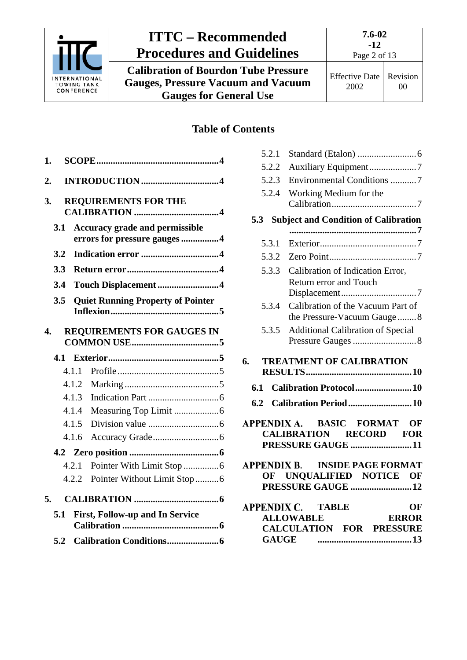

**Calibration of Bourdon Tube Pressure Gauges, Pressure Vacuum and Vacuum Gauges for General Use**

## **Table of Contents**

| 1.  |                                                                       |
|-----|-----------------------------------------------------------------------|
| 2.  |                                                                       |
| 3.  | <b>REQUIREMENTS FOR THE</b>                                           |
| 3.1 | <b>Accuracy grade and permissible</b><br>errors for pressure gauges 4 |
| 3.2 |                                                                       |
| 3.3 |                                                                       |
| 3.4 | Touch Displacement 4                                                  |
| 3.5 | <b>Quiet Running Property of Pointer</b>                              |
| 4.  | <b>REQUIREMENTS FOR GAUGES IN</b>                                     |
|     |                                                                       |
| 4.1 |                                                                       |
|     | 4.1.1                                                                 |
|     | 4.1.2                                                                 |
|     | 4.1.3                                                                 |
|     | 4.1.4                                                                 |
|     | 4.1.5                                                                 |
|     | 4.1.6                                                                 |
|     |                                                                       |
|     | 4.2.1                                                                 |
|     | Pointer Without Limit Stop 6<br>4.2.2                                 |
| 5.  |                                                                       |
| 5.1 | <b>First, Follow-up and In Service</b>                                |

| 5.2.1<br>5.2.2<br>5.2.3<br>5.2.4 | Auxiliary Equipment7<br>Environmental Conditions 7<br>Working Medium for the                                                                    |
|----------------------------------|-------------------------------------------------------------------------------------------------------------------------------------------------|
|                                  |                                                                                                                                                 |
| 5.3                              | <b>Subject and Condition of Calibration</b>                                                                                                     |
| 5.3.1                            |                                                                                                                                                 |
| 5.3.2                            |                                                                                                                                                 |
| 5.3.3                            | Calibration of Indication Error,                                                                                                                |
|                                  | <b>Return error and Touch</b>                                                                                                                   |
| 5.3.4                            | Calibration of the Vacuum Part of<br>the Pressure-Vacuum Gauge8                                                                                 |
| 5.3.5                            | <b>Additional Calibration of Special</b>                                                                                                        |
| 6.                               | <b>TREATMENT OF CALIBRATION</b>                                                                                                                 |
|                                  |                                                                                                                                                 |
| 6.1                              | Calibration Protocol10                                                                                                                          |
|                                  | 6.2 Calibration Period  10                                                                                                                      |
|                                  | APPENDIX A. BASIC FORMAT OF<br><b>CALIBRATION RECORD FOR</b><br>PRESSURE GAUGE 11                                                               |
|                                  | APPENDIX B. INSIDE PAGE FORMAT                                                                                                                  |
|                                  | OF UNQUALIFIED NOTICE OF                                                                                                                        |
|                                  | PRESSURE GAUGE 12                                                                                                                               |
|                                  | <b>APPENDIX C. TABLE</b><br>OF<br><b>ENDIX C. TABLE OF<br/>ALLOWABLE ERROR<br/>CALCULATION FOR PRESSURE</b><br><b>ALLOWABLE</b><br><b>GAUGE</b> |
|                                  |                                                                                                                                                 |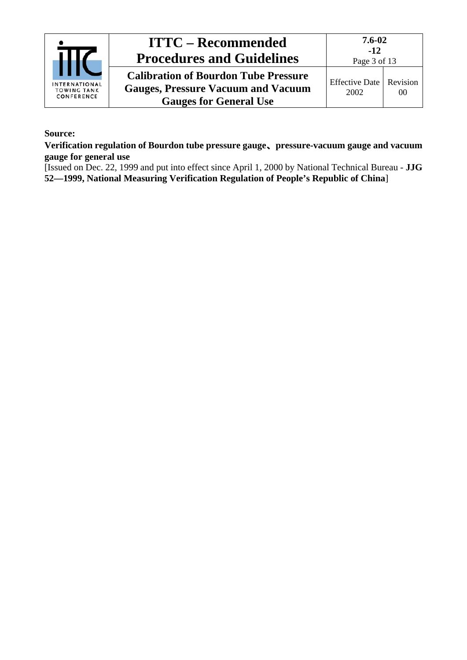

## **ITTC – Recommended Procedures and Guidelines Calibration of Bourdon Tube Pressure Gauges, Pressure Vacuum and Vacuum**

**7.6-02**

#### **Source:**

**Verification regulation of Bourdon tube pressure gauge**、**pressure-vacuum gauge and vacuum gauge for general use**

**Gauges for General Use**

[Issued on Dec. 22, 1999 and put into effect since April 1, 2000 by National Technical Bureau - **JJG 52—1999, National Measuring Verification Regulation of People's Republic of China**]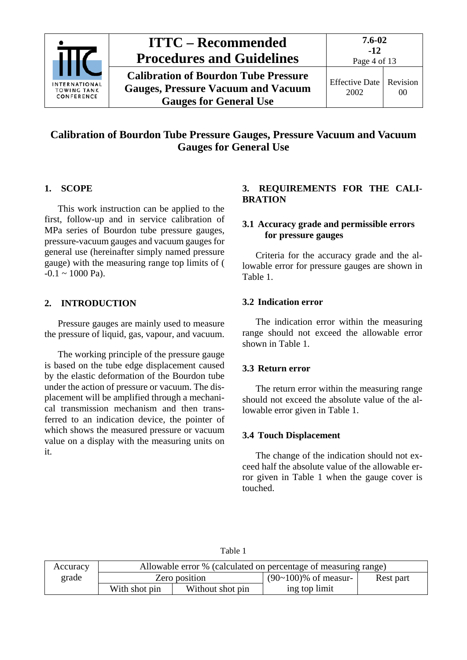

**Calibration of Bourdon Tube Pressure Gauges, Pressure Vacuum and Vacuum Gauges for General Use**

**7.6-02**

## **Calibration of Bourdon Tube Pressure Gauges, Pressure Vacuum and Vacuum Gauges for General Use**

## <span id="page-3-0"></span>**1. SCOPE**

This work instruction can be applied to the first, follow-up and in service calibration of MPa series of Bourdon tube pressure gauges, pressure-vacuum gauges and vacuum gauges for general use (hereinafter simply named pressure gauge) with the measuring range top limits of (  $-0.1 \sim 1000 \text{ Pa}$ .

## <span id="page-3-1"></span>**2. INTRODUCTION**

Pressure gauges are mainly used to measure the pressure of liquid, gas, vapour, and vacuum.

The working principle of the pressure gauge is based on the tube edge displacement caused by the elastic deformation of the Bourdon tube under the action of pressure or vacuum. The displacement will be amplified through a mechanical transmission mechanism and then transferred to an indication device, the pointer of which shows the measured pressure or vacuum value on a display with the measuring units on it.

## <span id="page-3-2"></span>**3. REQUIREMENTS FOR THE CALI-BRATION**

### <span id="page-3-3"></span>**3.1 Accuracy grade and permissible errors for pressure gauges**

Criteria for the accuracy grade and the allowable error for pressure gauges are shown in Table 1.

#### <span id="page-3-4"></span>**3.2 Indication error**

The indication error within the measuring range should not exceed the allowable error shown in Table 1.

### <span id="page-3-5"></span>**3.3 Return error**

The return error within the measuring range should not exceed the absolute value of the allowable error given in Table 1.

### <span id="page-3-6"></span>**3.4 Touch Displacement**

The change of the indication should not exceed half the absolute value of the allowable error given in Table 1 when the gauge cover is touched.

| anje |  |
|------|--|
|------|--|

| Accuracy |                                   |  | Allowable error % (calculated on percentage of measuring range) |           |  |
|----------|-----------------------------------|--|-----------------------------------------------------------------|-----------|--|
| grade    | Zero position                     |  | $(90-100)\%$ of measur-                                         | Rest part |  |
|          | With shot pin<br>Without shot pin |  | ing top limit                                                   |           |  |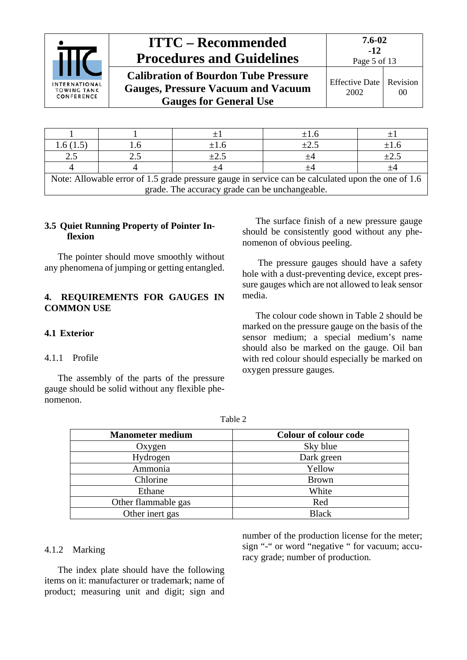

| <b>ITTC – Recommended</b><br><b>Procedures and Guidelines</b>                                                             | 7.6-02<br>$-12$<br>Page 5 of 13 |  |
|---------------------------------------------------------------------------------------------------------------------------|---------------------------------|--|
| <b>Calibration of Bourdon Tube Pressure</b><br><b>Gauges, Pressure Vacuum and Vacuum</b><br><b>Gauges for General Use</b> | Effective Date   Re<br>2002     |  |

|                                                                                                    |  |           | $\pm 1.6$ |           |  |
|----------------------------------------------------------------------------------------------------|--|-----------|-----------|-----------|--|
| l.6 (1.5)                                                                                          |  | $+1.6$    | $\pm 2.5$ | $\pm 1.6$ |  |
| 2.5                                                                                                |  | $\pm 2.5$ |           | $\pm 2.5$ |  |
|                                                                                                    |  |           |           |           |  |
| Note: Allowable error of 1.5 grade pressure gauge in service can be calculated upon the one of 1.6 |  |           |           |           |  |
| grade. The accuracy grade can be unchangeable.                                                     |  |           |           |           |  |

#### <span id="page-4-0"></span>**3.5 Quiet Running Property of Pointer Inflexion**

The pointer should move smoothly without any phenomena of jumping or getting entangled.

#### <span id="page-4-1"></span>**4. REQUIREMENTS FOR GAUGES IN COMMON USE**

#### <span id="page-4-3"></span><span id="page-4-2"></span>**4.1 Exterior**

#### 4.1.1 Profile

The assembly of the parts of the pressure gauge should be solid without any flexible phenomenon.

The surface finish of a new pressure gauge should be consistently good without any phenomenon of obvious peeling.

Revision 00

The pressure gauges should have a safety hole with a dust-preventing device, except pressure gauges which are not allowed to leak sensor media.

The colour code shown in Table 2 should be marked on the pressure gauge on the basis of the sensor medium; a special medium's name should also be marked on the gauge. Oil ban with red colour should especially be marked on oxygen pressure gauges.

Table 2

| <b>Manometer medium</b> | <b>Colour of colour code</b> |
|-------------------------|------------------------------|
| Oxygen                  | Sky blue                     |
| Hydrogen                | Dark green                   |
| Ammonia                 | Yellow                       |
| Chlorine                | <b>Brown</b>                 |
| Ethane                  | White                        |
| Other flammable gas     | Red                          |
| Other inert gas         | <b>Black</b>                 |

#### <span id="page-4-4"></span>4.1.2 Marking

The index plate should have the following items on it: manufacturer or trademark; name of product; measuring unit and digit; sign and number of the production license for the meter; sign "-" or word "negative " for vacuum; accuracy grade; number of production.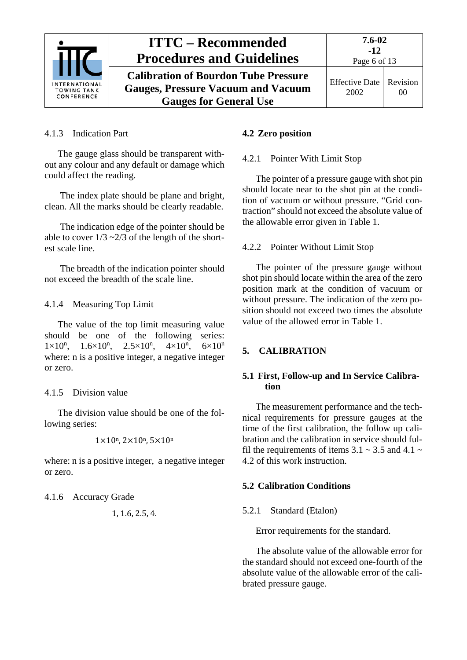

<span id="page-5-0"></span>4.1.3 Indication Part

The gauge glass should be transparent without any colour and any default or damage which could affect the reading.

The index plate should be plane and bright, clean. All the marks should be clearly readable.

The indication edge of the pointer should be able to cover  $1/3 \sim 2/3$  of the length of the shortest scale line.

The breadth of the indication pointer should not exceed the breadth of the scale line.

## <span id="page-5-1"></span>4.1.4 Measuring Top Limit

The value of the top limit measuring value should be one of the following series:  $1 \times 10^n$ ,  $1.6 \times 10^n$ ,  $2.5 \times 10^n$ ,  $4 \times 10^n$  $6\times 10^n$ where: n is a positive integer, a negative integer or zero.

## <span id="page-5-2"></span>4.1.5 Division value

The division value should be one of the following series:

$$
1\times10^n, 2\times10^n, 5\times10^n
$$

where: n is a positive integer, a negative integer or zero.

<span id="page-5-3"></span>4.1.6 Accuracy Grade

$$
1, 1.6, 2.5, 4.
$$

## <span id="page-5-5"></span><span id="page-5-4"></span>**4.2 Zero position**

## 4.2.1 Pointer With Limit Stop

The pointer of a pressure gauge with shot pin should locate near to the shot pin at the condition of vacuum or without pressure. "Grid contraction" should not exceed the absolute value of the allowable error given in Table 1.

## <span id="page-5-6"></span>4.2.2 Pointer Without Limit Stop

The pointer of the pressure gauge without shot pin should locate within the area of the zero position mark at the condition of vacuum or without pressure. The indication of the zero position should not exceed two times the absolute value of the allowed error in Table 1.

## <span id="page-5-8"></span><span id="page-5-7"></span>**5. CALIBRATION**

### **5.1 First, Follow-up and In Service Calibration**

The measurement performance and the technical requirements for pressure gauges at the time of the first calibration, the follow up calibration and the calibration in service should fulfil the requirements of items 3.1  $\sim$  3.5 and 4.1  $\sim$ 4.2 of this work instruction.

## <span id="page-5-10"></span><span id="page-5-9"></span>**5.2 Calibration Conditions**

## 5.2.1 Standard (Etalon)

Error requirements for the standard.

The absolute value of the allowable error for the standard should not exceed one-fourth of the absolute value of the allowable error of the calibrated pressure gauge.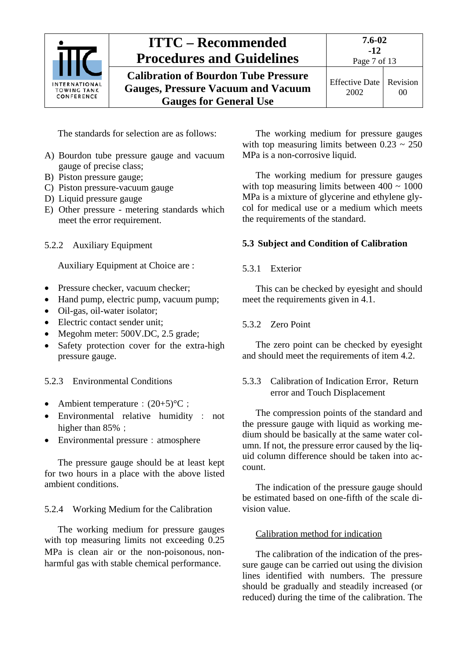

**7.6-02 -12** Page 7 of 13

**Calibration of Bourdon Tube Pressure Gauges, Pressure Vacuum and Vacuum Gauges for General Use** Effective Date 2002

The standards for selection are as follows:

- A) Bourdon tube pressure gauge and vacuum gauge of precise class;
- B) Piston pressure gauge;
- C) Piston pressure-vacuum gauge
- D) Liquid pressure gauge
- E) Other pressure metering standards which meet the error requirement.
- <span id="page-6-0"></span>5.2.2 Auxiliary Equipment

Auxiliary Equipment at Choice are :

- Pressure checker, vacuum checker:
- Hand pump, electric pump, vacuum pump;
- Oil-gas, oil-water isolator:
- Electric contact sender unit:
- Megohm meter: 500V.DC, 2.5 grade;
- Safety protection cover for the extra-high pressure gauge.

<span id="page-6-1"></span>5.2.3 Environmental Conditions

- Ambient temperature:  $(20+5)$ °C;
- Environmental relative humidity : not higher than 85%;
- Environmental pressure: atmosphere

The pressure gauge should be at least kept for two hours in a place with the above listed ambient conditions.

<span id="page-6-2"></span>5.2.4 Working Medium for the Calibration

The working medium for pressure gauges with top measuring limits not exceeding 0.25 MPa is clean air or the non-poisonous, nonharmful gas with stable chemical performance.

The working medium for pressure gauges with top measuring limits between  $0.23 \sim 250$ MPa is a non-corrosive liquid.

The working medium for pressure gauges with top measuring limits between  $400 \sim 1000$ MPa is a mixture of glycerine and ethylene glycol for medical use or a medium which meets the requirements of the standard.

## <span id="page-6-4"></span><span id="page-6-3"></span>**5.3 Subject and Condition of Calibration**

## 5.3.1 Exterior

This can be checked by eyesight and should meet the requirements given in 4.1.

#### <span id="page-6-5"></span>5.3.2 Zero Point

The zero point can be checked by eyesight and should meet the requirements of item 4.2.

#### <span id="page-6-6"></span>5.3.3 Calibration of Indication Error, Return error and Touch Displacement

The compression points of the standard and the pressure gauge with liquid as working medium should be basically at the same water column. If not, the pressure error caused by the liquid column difference should be taken into account.

The indication of the pressure gauge should be estimated based on one-fifth of the scale division value.

#### Calibration method for indication

The calibration of the indication of the pressure gauge can be carried out using the division lines identified with numbers. The pressure should be gradually and steadily increased (or reduced) during the time of the calibration. The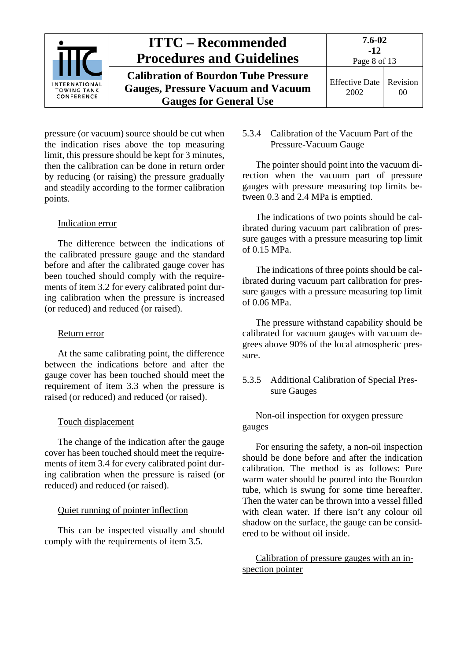

pressure (or vacuum) source should be cut when the indication rises above the top measuring limit, this pressure should be kept for 3 minutes, then the calibration can be done in return order by reducing (or raising) the pressure gradually and steadily according to the former calibration points.

#### Indication error

The difference between the indications of the calibrated pressure gauge and the standard before and after the calibrated gauge cover has been touched should comply with the requirements of item 3.2 for every calibrated point during calibration when the pressure is increased (or reduced) and reduced (or raised).

#### Return error

At the same calibrating point, the difference between the indications before and after the gauge cover has been touched should meet the requirement of item 3.3 when the pressure is raised (or reduced) and reduced (or raised).

#### Touch displacement

The change of the indication after the gauge cover has been touched should meet the requirements of item 3.4 for every calibrated point during calibration when the pressure is raised (or reduced) and reduced (or raised).

#### Quiet running of pointer inflection

This can be inspected visually and should comply with the requirements of item 3.5.

#### <span id="page-7-0"></span>5.3.4 Calibration of the Vacuum Part of the Pressure-Vacuum Gauge

The pointer should point into the vacuum direction when the vacuum part of pressure gauges with pressure measuring top limits between 0.3 and 2.4 MPa is emptied.

The indications of two points should be calibrated during vacuum part calibration of pressure gauges with a pressure measuring top limit of 0.15 MPa.

The indications of three points should be calibrated during vacuum part calibration for pressure gauges with a pressure measuring top limit of 0.06 MPa.

The pressure withstand capability should be calibrated for vacuum gauges with vacuum degrees above 90% of the local atmospheric pressure.

#### <span id="page-7-1"></span>5.3.5 Additional Calibration of Special Pressure Gauges

#### Non-oil inspection for oxygen pressure gauges

For ensuring the safety, a non-oil inspection should be done before and after the indication calibration. The method is as follows: Pure warm water should be poured into the Bourdon tube, which is swung for some time hereafter. Then the water can be thrown into a vessel filled with clean water. If there isn't any colour oil shadow on the surface, the gauge can be considered to be without oil inside.

Calibration of pressure gauges with an inspection pointer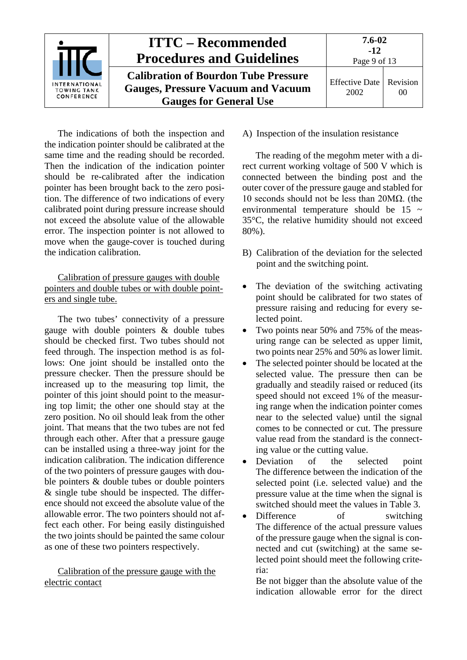

The indications of both the inspection and the indication pointer should be calibrated at the same time and the reading should be recorded. Then the indication of the indication pointer should be re-calibrated after the indication pointer has been brought back to the zero position. The difference of two indications of every calibrated point during pressure increase should not exceed the absolute value of the allowable error. The inspection pointer is not allowed to move when the gauge-cover is touched during the indication calibration.

Calibration of pressure gauges with double pointers and double tubes or with double pointers and single tube.

The two tubes' connectivity of a pressure gauge with double pointers & double tubes should be checked first. Two tubes should not feed through. The inspection method is as follows: One joint should be installed onto the pressure checker. Then the pressure should be increased up to the measuring top limit, the pointer of this joint should point to the measuring top limit; the other one should stay at the zero position. No oil should leak from the other joint. That means that the two tubes are not fed through each other. After that a pressure gauge can be installed using a three-way joint for the indication calibration. The indication difference of the two pointers of pressure gauges with double pointers & double tubes or double pointers & single tube should be inspected. The difference should not exceed the absolute value of the allowable error. The two pointers should not affect each other. For being easily distinguished the two joints should be painted the same colour as one of these two pointers respectively.

Calibration of the pressure gauge with the electric contact

A) Inspection of the insulation resistance

The reading of the megohm meter with a direct current working voltage of 500 V which is connected between the binding post and the outer cover of the pressure gauge and stabled for 10 seconds should not be less than 20MΩ. (the environmental temperature should be  $15 \sim$ 35°C, the relative humidity should not exceed 80%).

- B) Calibration of the deviation for the selected point and the switching point.
- The deviation of the switching activating point should be calibrated for two states of pressure raising and reducing for every selected point.
- Two points near 50% and 75% of the measuring range can be selected as upper limit, two points near 25% and 50% as lower limit.
- The selected pointer should be located at the selected value. The pressure then can be gradually and steadily raised or reduced (its speed should not exceed 1% of the measuring range when the indication pointer comes near to the selected value) until the signal comes to be connected or cut. The pressure value read from the standard is the connecting value or the cutting value.
- Deviation of the selected point The difference between the indication of the selected point (i.e. selected value) and the pressure value at the time when the signal is switched should meet the values in Table 3.
- Difference of switching The difference of the actual pressure values of the pressure gauge when the signal is connected and cut (switching) at the same selected point should meet the following criteria:

Be not bigger than the absolute value of the indication allowable error for the direct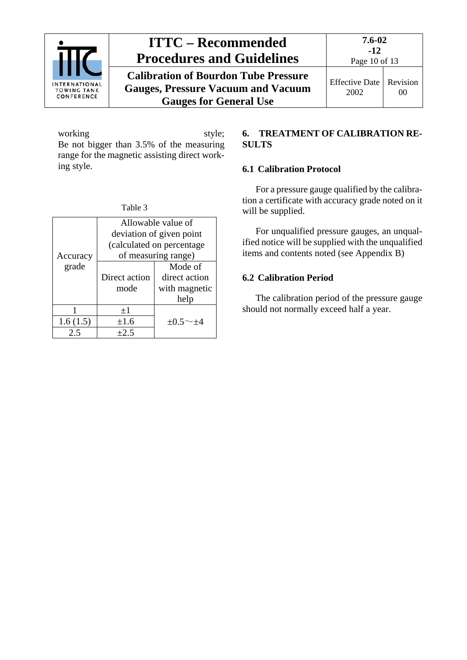

**Calibration of Bourdon Tube Pressure Gauges, Pressure Vacuum and Vacuum Gauges for General Use**

working style; Be not bigger than 3.5% of the measuring range for the magnetic assisting direct working style.

| Allowable value of<br>deviation of given point<br>(calculated on percentage<br>of measuring range)<br>Accuracy |                                 |                                                   |  |  |
|----------------------------------------------------------------------------------------------------------------|---------------------------------|---------------------------------------------------|--|--|
| grade                                                                                                          | Direct action<br>mode           | Mode of<br>direct action<br>with magnetic<br>help |  |  |
|                                                                                                                | $+1$                            |                                                   |  |  |
| 1.6(1.5)                                                                                                       | $\pm 1.6$<br>$+0.5^{\sim}$ $+4$ |                                                   |  |  |
| 2.5                                                                                                            | $+2.5$                          |                                                   |  |  |

#### <span id="page-9-0"></span>**6. TREATMENT OF CALIBRATION RE-SULTS**

## <span id="page-9-1"></span>**6.1 Calibration Protocol**

For a pressure gauge qualified by the calibration a certificate with accuracy grade noted on it will be supplied.

For unqualified pressure gauges, an unqualified notice will be supplied with the unqualified items and contents noted (see Appendix B)

## <span id="page-9-2"></span>**6.2 Calibration Period**

The calibration period of the pressure gauge should not normally exceed half a year.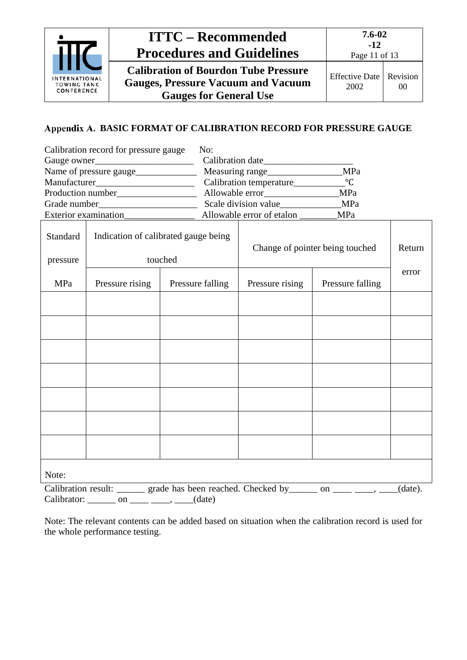

### <span id="page-10-0"></span>Appendix A. BASIC FORMAT OF CALIBRATION RECORD FOR PRESSURE GAUGE

|                                                  | Calibration record for pressure gauge            | No:              |                                 |                                           |                                                                                              |       |  |
|--------------------------------------------------|--------------------------------------------------|------------------|---------------------------------|-------------------------------------------|----------------------------------------------------------------------------------------------|-------|--|
| Gauge owner                                      |                                                  |                  |                                 |                                           |                                                                                              |       |  |
|                                                  |                                                  |                  |                                 | Measuring range_______________________MPa |                                                                                              |       |  |
|                                                  |                                                  |                  |                                 |                                           |                                                                                              |       |  |
|                                                  |                                                  |                  |                                 |                                           |                                                                                              |       |  |
|                                                  |                                                  |                  |                                 |                                           |                                                                                              |       |  |
|                                                  |                                                  |                  |                                 | Allowable error of etalon ________MPa     |                                                                                              |       |  |
| Standard<br>Indication of calibrated gauge being |                                                  |                  | Change of pointer being touched |                                           | Return                                                                                       |       |  |
| pressure                                         |                                                  | touched          |                                 |                                           |                                                                                              |       |  |
| MPa                                              | Pressure rising                                  | Pressure falling |                                 | Pressure falling<br>Pressure rising       |                                                                                              | error |  |
|                                                  |                                                  |                  |                                 |                                           |                                                                                              |       |  |
|                                                  |                                                  |                  |                                 |                                           |                                                                                              |       |  |
|                                                  |                                                  |                  |                                 |                                           |                                                                                              |       |  |
|                                                  |                                                  |                  |                                 |                                           |                                                                                              |       |  |
|                                                  |                                                  |                  |                                 |                                           |                                                                                              |       |  |
|                                                  |                                                  |                  |                                 |                                           |                                                                                              |       |  |
|                                                  |                                                  |                  |                                 |                                           |                                                                                              |       |  |
| Note:                                            |                                                  |                  |                                 |                                           |                                                                                              |       |  |
|                                                  |                                                  |                  |                                 |                                           | Calibration result: ______ grade has been reached. Checked by _____ on ____ ____, ___(date). |       |  |
|                                                  | Calibrator: _______ on ____________, _____(date) |                  |                                 |                                           |                                                                                              |       |  |

Note: The relevant contents can be added based on situation when the calibration record is used for the whole performance testing.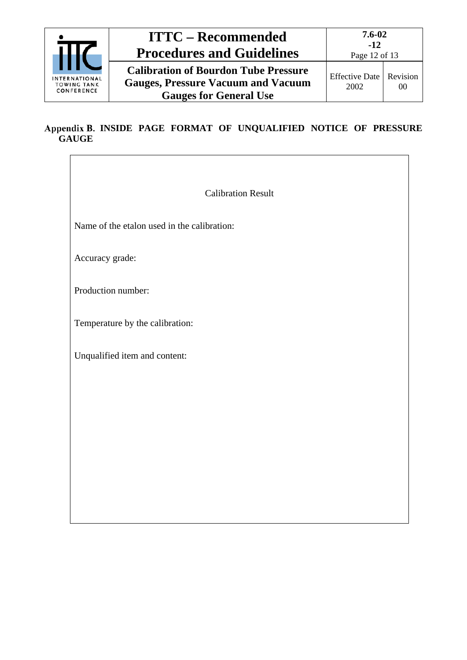

**Calibration of Bourdon Tube Pressure Gauges, Pressure Vacuum and Vacuum Gauges for General Use**

## <span id="page-11-0"></span>Appendix B. INSIDE PAGE FORMAT OF UNQUALIFIED NOTICE OF PRESSURE **GAUGE**

Calibration Result

Name of the etalon used in the calibration:

Accuracy grade:

Production number:

Temperature by the calibration:

Unqualified item and content: